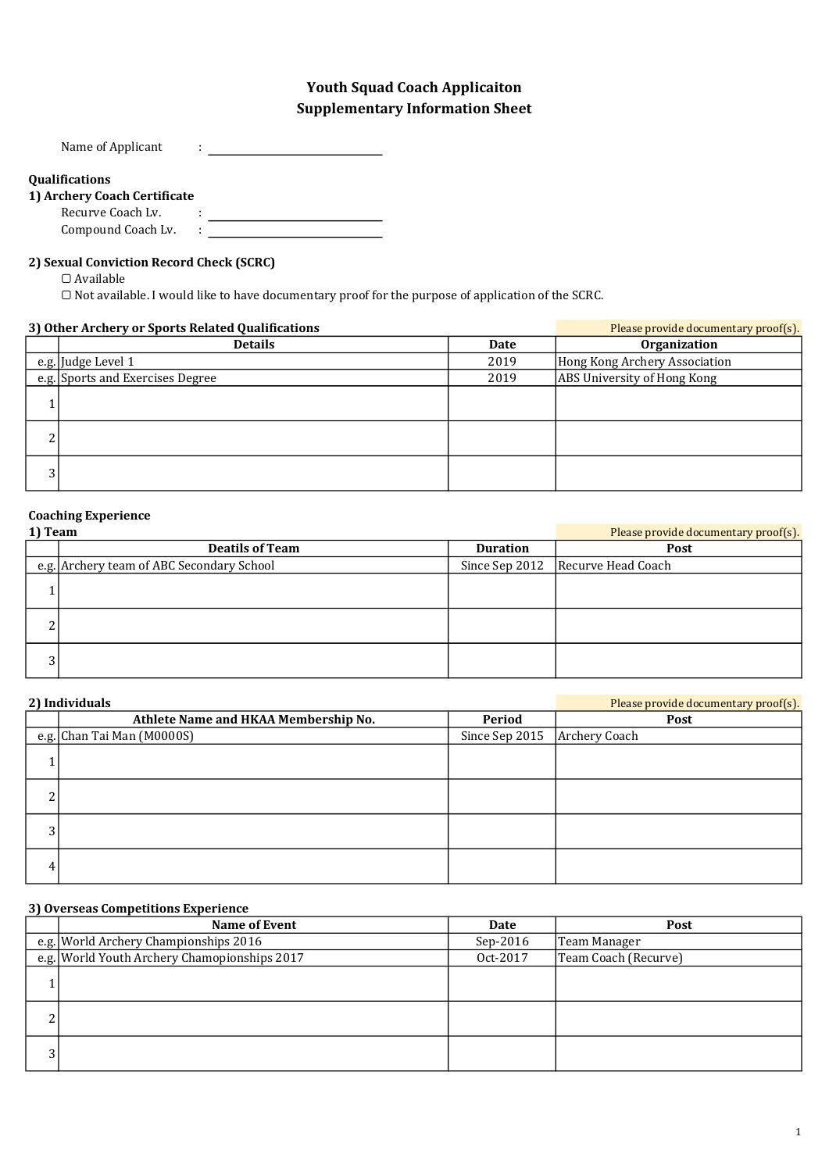## Supplementary Information Sheet Youth Squad Coach Applicaiton

Name of Applicant :

## Qualifications

#### 1) Archery Coach Certificate

Recurve Coach Lv. : Compound Coach Lv. :

## 2) Sexual Conviction Record Check (SCRC)

▢ Available

▢ Not available. I would like to have documentary proof for the purpose of application of the SCRC.

| 3) Other Archery or Sports Related Qualifications |                                  |      | Please provide documentary proof(s). |
|---------------------------------------------------|----------------------------------|------|--------------------------------------|
|                                                   | <b>Details</b>                   | Date | Organization                         |
|                                                   | e.g. Judge Level 1               | 2019 | Hong Kong Archery Association        |
|                                                   | e.g. Sports and Exercises Degree | 2019 | ABS University of Hong Kong          |
|                                                   |                                  |      |                                      |
| ີ<br>∠                                            |                                  |      |                                      |
| 3                                                 |                                  |      |                                      |

## Coaching Experience

| 1) Team    |                                           |                 | Please provide documentary proof(s). |
|------------|-------------------------------------------|-----------------|--------------------------------------|
|            | <b>Deatils of Team</b>                    | <b>Duration</b> | Post                                 |
|            | e.g. Archery team of ABC Secondary School |                 | Since Sep 2012   Recurve Head Coach  |
|            |                                           |                 |                                      |
| $\sqrt{2}$ |                                           |                 |                                      |
| $\sim$     |                                           |                 |                                      |

| 2) Individuals |                                      |                | Please provide documentary proof(s). |
|----------------|--------------------------------------|----------------|--------------------------------------|
|                | Athlete Name and HKAA Membership No. | Period         | Post                                 |
|                | e.g. Chan Tai Man (M0000S)           | Since Sep 2015 | <b>Archery Coach</b>                 |
|                |                                      |                |                                      |
| ີ              |                                      |                |                                      |
| 3              |                                      |                |                                      |
| 4              |                                      |                |                                      |

#### 3) Overseas Competitions Experience

|        | <b>Name of Event</b>                         | Date       | Post                 |
|--------|----------------------------------------------|------------|----------------------|
|        | e.g. World Archery Championships 2016        | $Sep-2016$ | Team Manager         |
|        | e.g. World Youth Archery Chamopionships 2017 | Oct-2017   | Team Coach (Recurve) |
|        |                                              |            |                      |
| n<br>∠ |                                              |            |                      |
| 3      |                                              |            |                      |